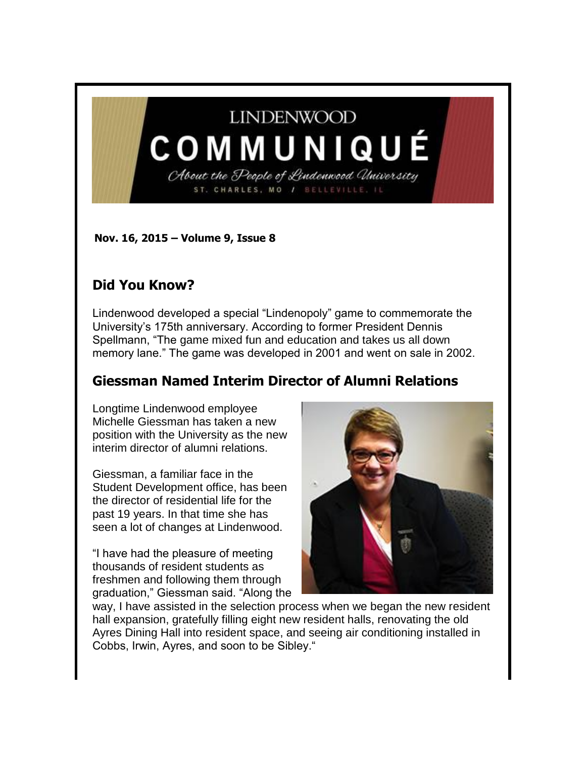# **LINDENWOOD**

# COMMUNIQUÉ About the People of Lindenwood University

ST. CHARLES, MO / BELLEVILLE, IL

**Nov. 16, 2015 – Volume 9, Issue 8** 

## **Did You Know?**

Lindenwood developed a special "Lindenopoly" game to commemorate the University's 175th anniversary. According to former President Dennis Spellmann, "The game mixed fun and education and takes us all down memory lane." The game was developed in 2001 and went on sale in 2002.

# **Giessman Named Interim Director of Alumni Relations**

Longtime Lindenwood employee Michelle Giessman has taken a new position with the University as the new interim director of alumni relations.

Giessman, a familiar face in the Student Development office, has been the director of residential life for the past 19 years. In that time she has seen a lot of changes at Lindenwood.

"I have had the pleasure of meeting thousands of resident students as freshmen and following them through graduation," Giessman said. "Along the



way, I have assisted in the selection process when we began the new resident hall expansion, gratefully filling eight new resident halls, renovating the old Ayres Dining Hall into resident space, and seeing air conditioning installed in Cobbs, Irwin, Ayres, and soon to be Sibley."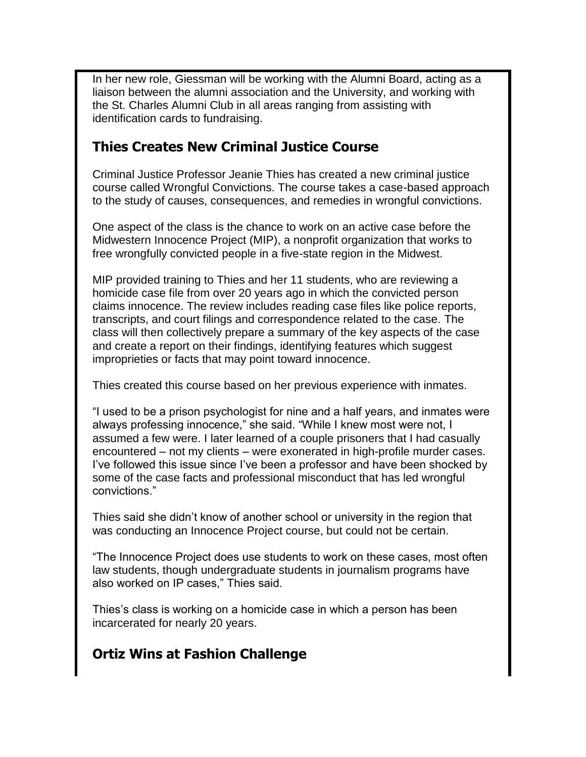In her new role, Giessman will be working with the Alumni Board, acting as a liaison between the alumni association and the University, and working with the St. Charles Alumni Club in all areas ranging from assisting with identification cards to fundraising.

#### **Thies Creates New Criminal Justice Course**

Criminal Justice Professor Jeanie Thies has created a new criminal justice course called Wrongful Convictions. The course takes a case-based approach to the study of causes, consequences, and remedies in wrongful convictions.

One aspect of the class is the chance to work on an active case before the Midwestern Innocence Project (MIP), a nonprofit organization that works to free wrongfully convicted people in a five-state region in the Midwest.

MIP provided training to Thies and her 11 students, who are reviewing a homicide case file from over 20 years ago in which the convicted person claims innocence. The review includes reading case files like police reports, transcripts, and court filings and correspondence related to the case. The class will then collectively prepare a summary of the key aspects of the case and create a report on their findings, identifying features which suggest improprieties or facts that may point toward innocence.

Thies created this course based on her previous experience with inmates.

"I used to be a prison psychologist for nine and a half years, and inmates were always professing innocence," she said. "While I knew most were not, I assumed a few were. I later learned of a couple prisoners that I had casually encountered – not my clients – were exonerated in high-profile murder cases. I've followed this issue since I've been a professor and have been shocked by some of the case facts and professional misconduct that has led wrongful convictions."

Thies said she didn't know of another school or university in the region that was conducting an Innocence Project course, but could not be certain.

"The Innocence Project does use students to work on these cases, most often law students, though undergraduate students in journalism programs have also worked on IP cases," Thies said.

Thies's class is working on a homicide case in which a person has been incarcerated for nearly 20 years.

# **Ortiz Wins at Fashion Challenge**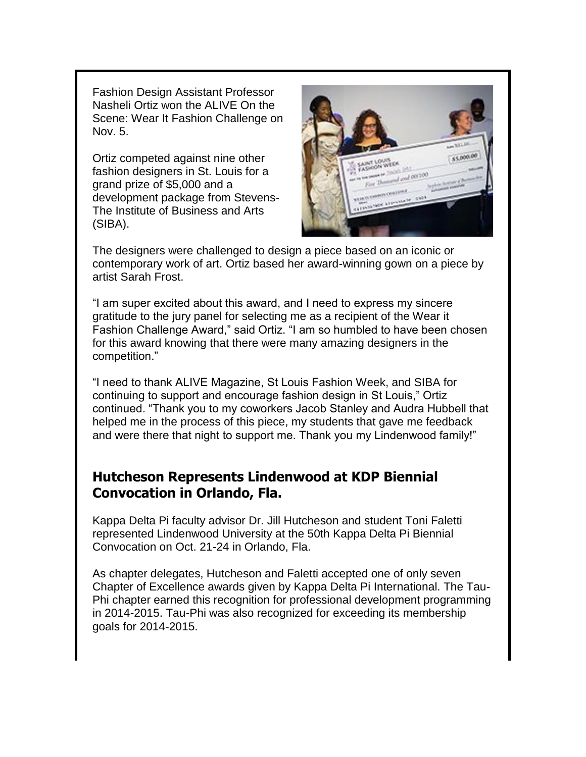Fashion Design Assistant Professor Nasheli Ortiz won the ALIVE On the Scene: Wear It Fashion Challenge on Nov. 5.

Ortiz competed against nine other fashion designers in St. Louis for a grand prize of \$5,000 and a development package from Stevens-The Institute of Business and Arts (SIBA).



The designers were challenged to design a piece based on an iconic or contemporary work of art. Ortiz based her award-winning gown on a piece by artist Sarah Frost.

"I am super excited about this award, and I need to express my sincere gratitude to the jury panel for selecting me as a recipient of the Wear it Fashion Challenge Award," said Ortiz. "I am so humbled to have been chosen for this award knowing that there were many amazing designers in the competition."

"I need to thank ALIVE Magazine, St Louis Fashion Week, and SIBA for continuing to support and encourage fashion design in St Louis," Ortiz continued. "Thank you to my coworkers Jacob Stanley and Audra Hubbell that helped me in the process of this piece, my students that gave me feedback and were there that night to support me. Thank you my Lindenwood family!"

#### **Hutcheson Represents Lindenwood at KDP Biennial Convocation in Orlando, Fla.**

Kappa Delta Pi faculty advisor Dr. Jill Hutcheson and student Toni Faletti represented Lindenwood University at the 50th Kappa Delta Pi Biennial Convocation on Oct. 21-24 in Orlando, Fla.

As chapter delegates, Hutcheson and Faletti accepted one of only seven Chapter of Excellence awards given by Kappa Delta Pi International. The Tau-Phi chapter earned this recognition for professional development programming in 2014-2015. Tau-Phi was also recognized for exceeding its membership goals for 2014-2015.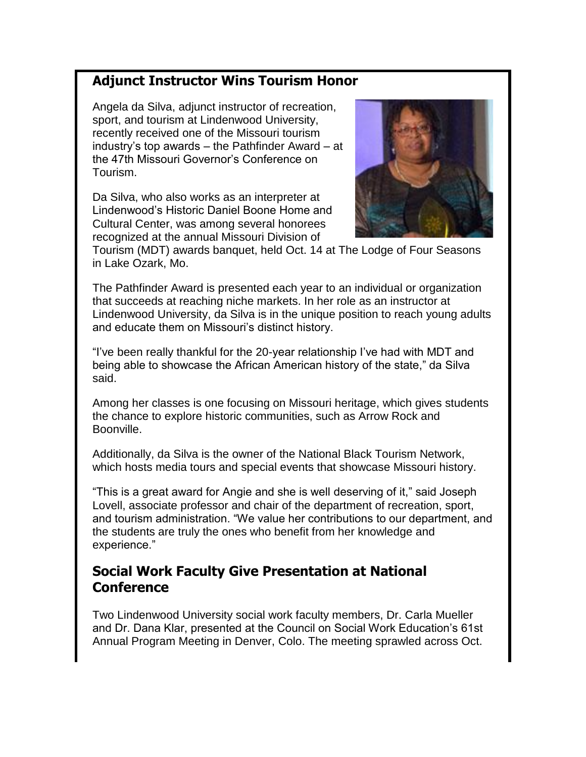## **Adjunct Instructor Wins Tourism Honor**

Angela da Silva, adjunct instructor of recreation, sport, and tourism at Lindenwood University, recently received one of the Missouri tourism industry's top awards – the Pathfinder Award – at the 47th Missouri Governor's Conference on Tourism.

Da Silva, who also works as an interpreter at Lindenwood's Historic Daniel Boone Home and Cultural Center, was among several honorees recognized at the annual Missouri Division of



Tourism (MDT) awards banquet, held Oct. 14 at The Lodge of Four Seasons in Lake Ozark, Mo.

The Pathfinder Award is presented each year to an individual or organization that succeeds at reaching niche markets. In her role as an instructor at Lindenwood University, da Silva is in the unique position to reach young adults and educate them on Missouri's distinct history.

"I've been really thankful for the 20-year relationship I've had with MDT and being able to showcase the African American history of the state," da Silva said.

Among her classes is one focusing on Missouri heritage, which gives students the chance to explore historic communities, such as Arrow Rock and Boonville.

Additionally, da Silva is the owner of the National Black Tourism Network, which hosts media tours and special events that showcase Missouri history.

"This is a great award for Angie and she is well deserving of it," said Joseph Lovell, associate professor and chair of the department of recreation, sport, and tourism administration. "We value her contributions to our department, and the students are truly the ones who benefit from her knowledge and experience."

#### **Social Work Faculty Give Presentation at National Conference**

Two Lindenwood University social work faculty members, Dr. Carla Mueller and Dr. Dana Klar, presented at the Council on Social Work Education's 61st Annual Program Meeting in Denver, Colo. The meeting sprawled across Oct.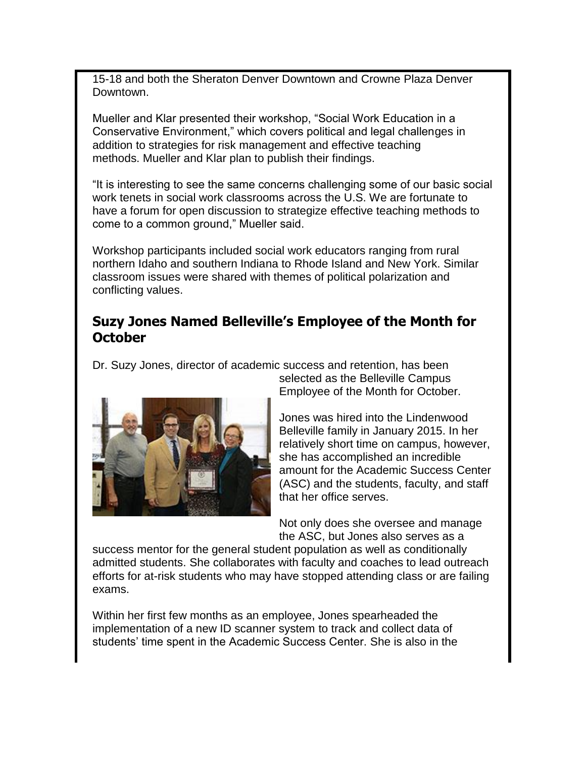15-18 and both the Sheraton Denver Downtown and Crowne Plaza Denver Downtown.

Mueller and Klar presented their workshop, "Social Work Education in a Conservative Environment," which covers political and legal challenges in addition to strategies for risk management and effective teaching methods. Mueller and Klar plan to publish their findings.

"It is interesting to see the same concerns challenging some of our basic social work tenets in social work classrooms across the U.S. We are fortunate to have a forum for open discussion to strategize effective teaching methods to come to a common ground," Mueller said.

Workshop participants included social work educators ranging from rural northern Idaho and southern Indiana to Rhode Island and New York. Similar classroom issues were shared with themes of political polarization and conflicting values.

#### **Suzy Jones Named Belleville's Employee of the Month for October**

Dr. Suzy Jones, director of academic success and retention, has been



selected as the Belleville Campus Employee of the Month for October.

Jones was hired into the Lindenwood Belleville family in January 2015. In her relatively short time on campus, however, she has accomplished an incredible amount for the Academic Success Center (ASC) and the students, faculty, and staff that her office serves.

Not only does she oversee and manage the ASC, but Jones also serves as a

success mentor for the general student population as well as conditionally admitted students. She collaborates with faculty and coaches to lead outreach efforts for at-risk students who may have stopped attending class or are failing exams.

Within her first few months as an employee, Jones spearheaded the implementation of a new ID scanner system to track and collect data of students' time spent in the Academic Success Center. She is also in the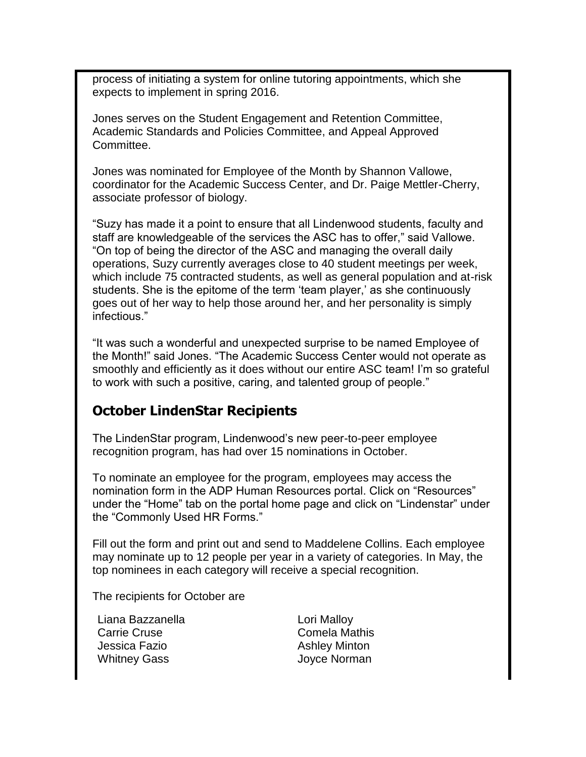process of initiating a system for online tutoring appointments, which she expects to implement in spring 2016.

Jones serves on the Student Engagement and Retention Committee, Academic Standards and Policies Committee, and Appeal Approved Committee.

Jones was nominated for Employee of the Month by Shannon Vallowe, coordinator for the Academic Success Center, and Dr. Paige Mettler-Cherry, associate professor of biology.

"Suzy has made it a point to ensure that all Lindenwood students, faculty and staff are knowledgeable of the services the ASC has to offer," said Vallowe. "On top of being the director of the ASC and managing the overall daily operations, Suzy currently averages close to 40 student meetings per week, which include 75 contracted students, as well as general population and at-risk students. She is the epitome of the term 'team player,' as she continuously goes out of her way to help those around her, and her personality is simply infectious."

"It was such a wonderful and unexpected surprise to be named Employee of the Month!" said Jones. "The Academic Success Center would not operate as smoothly and efficiently as it does without our entire ASC team! I'm so grateful to work with such a positive, caring, and talented group of people."

#### **October LindenStar Recipients**

The LindenStar program, Lindenwood's new peer-to-peer employee recognition program, has had over 15 nominations in October.

To nominate an employee for the program, employees may access the nomination form in the ADP Human Resources portal. Click on "Resources" under the "Home" tab on the portal home page and click on "Lindenstar" under the "Commonly Used HR Forms."

Fill out the form and print out and send to Maddelene Collins. Each employee may nominate up to 12 people per year in a variety of categories. In May, the top nominees in each category will receive a special recognition.

The recipients for October are

Liana Bazzanella **Lori Malloy** Carrie Cruse Comela Mathis Jessica Fazio **Ashley Minton** Whitney Gass **Matter Strategies** Joyce Norman